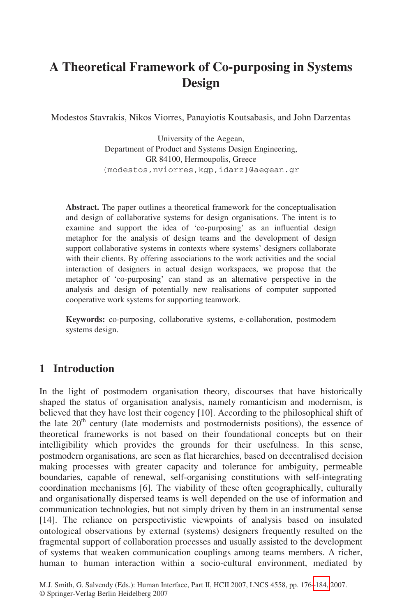# **A Theoretical Framework of Co-purposing in Systems Design**

Modestos Stavrakis, Nikos Viorres, Panayiotis Koutsabasis, and John Darzentas

University of the Aegean, Department of Product and Systems Design Engineering, GR 84100, Hermoupolis, Greece {modestos,nviorres,kgp,idarz}@aegean.gr

**Abstract.** The paper outlines a theoretical framework for the conceptualisation and design of collaborative systems for design organisations. The intent is to examine and support the idea of 'co-purposing' as an influential design metaphor for the analysis of design teams and the development of design support collaborative systems in contexts where systems' designers collaborate with their clients. By offering associations to the work activities and the social interaction of designers in actual design workspaces, we propose that the metaphor of 'co-purposing' can stand as an alternative perspective in the analysis and design of potentially new realisations of computer supported cooperative work systems for supporting teamwork.

**Keywords:** co-purposing, collaborative systems, e-collaboration, postmodern systems design.

# **1 Introduction**

In the light of postmodern organisation theory, discourses that have historically shaped the status of organisation analysis, namely romanticism and modernism, is believed that they have lost their cogency [10]. According to the philosophical shift of the late  $20<sup>th</sup>$  century (late modernists and postmodernists positions), the essence of theoretical frameworks is not based on their foundational concepts but on their intelligibility which provides the grounds for their usefulness. In this sense, postmodern organisations, are seen as flat hierarchies, based on decentralised decision making processes with greater capacity and tolerance for ambiguity, permeable boundaries, capable of renewal, self-organising constitutions with self-integrating coordination mechanisms [6]. The viability of these often geographically, culturally and organisationally dispersed teams is well depended on the use of information and communication technologies, but not simply driven by them in an instrumental sense [14]. The reliance on perspectivistic viewpoints of analysis based on insulated ontological observations by external (systems) designers frequently resulted on the fragmental support of collaboration processes and usually assisted to the development of systems that weaken communication couplings among teams members. A richer, human to human interaction within a socio-cultural environment, mediated by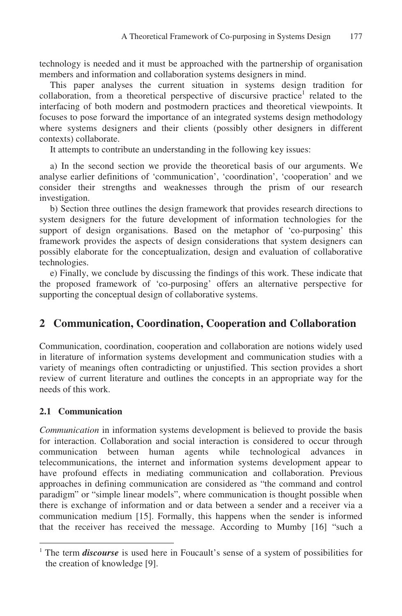technology is needed and it must be approached with the partnership of organisation members and information and collaboration systems designers in mind.

This paper analyses the current situation in systems design tradition for collaboration, from a theoretical perspective of discursive practice<sup>1</sup> related to the interfacing of both modern and postmodern practices and theoretical viewpoints. It focuses to pose forward the importance of an integrated systems design methodology where systems designers and their clients (possibly other designers in different contexts) collaborate.

It attempts to contribute an understanding in the following key issues:

a) In the second section we provide the theoretical basis of our arguments. We analyse earlier definitions of 'communication', 'coordination', 'cooperation' and we consider their strengths and weaknesses through the prism of our research investigation.

b) Section three outlines the design framework that provides research directions to system designers for the future development of information technologies for the support of design organisations. Based on the metaphor of 'co-purposing' this framework provides the aspects of design considerations that system designers can possibly elaborate for the conceptualization, design and evaluation of collaborative technologies.

e) Finally, we conclude by discussing the findings of this work. These indicate that the proposed framework of 'co-purposing' offers an alternative perspective for supporting the conceptual design of collaborative systems.

# **2 Communication, Coordination, Cooperation and Collaboration**

Communication, coordination, cooperation and collaboration are notions widely used in literature of information systems development and communication studies with a variety of meanings often contradicting or unjustified. This section provides a short review of current literature and outlines the concepts in an appropriate way for the needs of this work.

### **2.1 Communication**

-

*Communication* in information systems development is believed to provide the basis for interaction. Collaboration and social interaction is considered to occur through communication between human agents while technological advances in telecommunications, the internet and information systems development appear to have profound effects in mediating communication and collaboration. Previous approaches in defining communication are considered as "the command and control paradigm" or "simple linear models", where communication is thought possible when there is exchange of information and or data between a sender and a receiver via a communication medium [15]. Formally, this happens when the sender is informed that the receiver has received the message. According to Mumby [16] "such a

<sup>&</sup>lt;sup>1</sup> The term *discourse* is used here in Foucault's sense of a system of possibilities for the creation of knowledge [9].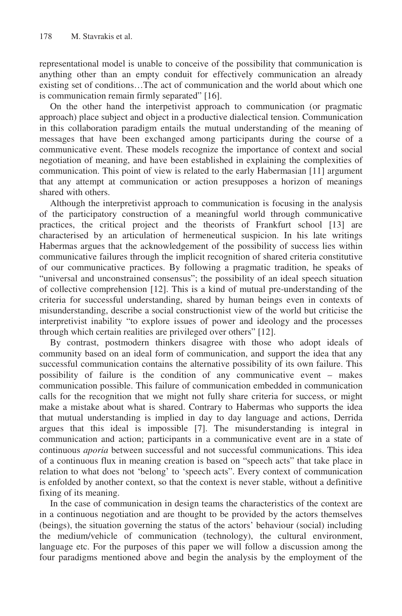representational model is unable to conceive of the possibility that communication is anything other than an empty conduit for effectively communication an already existing set of conditions…The act of communication and the world about which one is communication remain firmly separated" [16].

On the other hand the interpetivist approach to communication (or pragmatic approach) place subject and object in a productive dialectical tension. Communication in this collaboration paradigm entails the mutual understanding of the meaning of messages that have been exchanged among participants during the course of a communicative event. These models recognize the importance of context and social negotiation of meaning, and have been established in explaining the complexities of communication. This point of view is related to the early Habermasian [11] argument that any attempt at communication or action presupposes a horizon of meanings shared with others.

Although the interpretivist approach to communication is focusing in the analysis of the participatory construction of a meaningful world through communicative practices, the critical project and the theorists of Frankfurt school [13] are characterised by an articulation of hermeneutical suspicion. In his late writings Habermas argues that the acknowledgement of the possibility of success lies within communicative failures through the implicit recognition of shared criteria constitutive of our communicative practices. By following a pragmatic tradition, he speaks of "universal and unconstrained consensus"; the possibility of an ideal speech situation of collective comprehension [12]. This is a kind of mutual pre-understanding of the criteria for successful understanding, shared by human beings even in contexts of misunderstanding, describe a social constructionist view of the world but criticise the interpretivist inability "to explore issues of power and ideology and the processes through which certain realities are privileged over others" [12].

By contrast, postmodern thinkers disagree with those who adopt ideals of community based on an ideal form of communication, and support the idea that any successful communication contains the alternative possibility of its own failure. This possibility of failure is the condition of any communicative event – makes communication possible. This failure of communication embedded in communication calls for the recognition that we might not fully share criteria for success, or might make a mistake about what is shared. Contrary to Habermas who supports the idea that mutual understanding is implied in day to day language and actions, Derrida argues that this ideal is impossible [7]. The misunderstanding is integral in communication and action; participants in a communicative event are in a state of continuous *aporia* between successful and not successful communications. This idea of a continuous flux in meaning creation is based on "speech acts" that take place in relation to what does not 'belong' to 'speech acts". Every context of communication is enfolded by another context, so that the context is never stable, without a definitive fixing of its meaning.

In the case of communication in design teams the characteristics of the context are in a continuous negotiation and are thought to be provided by the actors themselves (beings), the situation governing the status of the actors' behaviour (social) including the medium/vehicle of communication (technology), the cultural environment, language etc. For the purposes of this paper we will follow a discussion among the four paradigms mentioned above and begin the analysis by the employment of the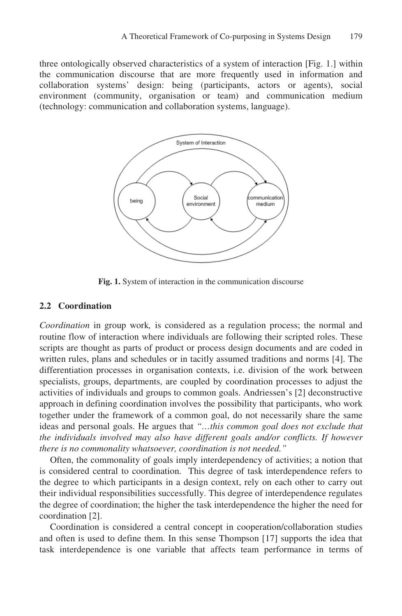three ontologically observed characteristics of a system of interaction [Fig. 1.] within the communication discourse that are more frequently used in information and collaboration systems' design: being (participants, actors or agents), social environment (community, organisation or team) and communication medium (technology: communication and collaboration systems, language).



**Fig. 1.** System of interaction in the communication discourse

#### **2.2 Coordination**

*Coordination* in group work*,* is considered as a regulation process; the normal and routine flow of interaction where individuals are following their scripted roles. These scripts are thought as parts of product or process design documents and are coded in written rules, plans and schedules or in tacitly assumed traditions and norms [4]. The differentiation processes in organisation contexts, i.e. division of the work between specialists, groups, departments, are coupled by coordination processes to adjust the activities of individuals and groups to common goals. Andriessen's [2] deconstructive approach in defining coordination involves the possibility that participants, who work together under the framework of a common goal, do not necessarily share the same ideas and personal goals. He argues that *"…this common goal does not exclude that the individuals involved may also have different goals and/or conflicts. If however there is no commonality whatsoever, coordination is not needed."* 

Often, the commonality of goals imply interdependency of activities; a notion that is considered central to coordination. This degree of task interdependence refers to the degree to which participants in a design context, rely on each other to carry out their individual responsibilities successfully. This degree of interdependence regulates the degree of coordination; the higher the task interdependence the higher the need for coordination [2].

Coordination is considered a central concept in cooperation/collaboration studies and often is used to define them. In this sense Thompson [17] supports the idea that task interdependence is one variable that affects team performance in terms of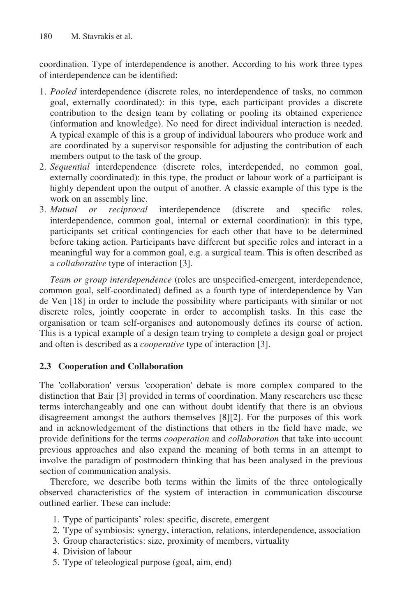coordination. Type of interdependence is another. According to his work three types of interdependence can be identified:

- 1. *Pooled* interdependence (discrete roles, no interdependence of tasks, no common goal, externally coordinated): in this type, each participant provides a discrete contribution to the design team by collating or pooling its obtained experience (information and knowledge). No need for direct individual interaction is needed. A typical example of this is a group of individual labourers who produce work and are coordinated by a supervisor responsible for adjusting the contribution of each members output to the task of the group.
- 2. *Sequential* interdependence (discrete roles, interdepended, no common goal, externally coordinated): in this type, the product or labour work of a participant is highly dependent upon the output of another. A classic example of this type is the work on an assembly line.
- 3. *Mutual or reciprocal* interdependence (discrete and specific roles, interdependence, common goal, internal or external coordination): in this type, participants set critical contingencies for each other that have to be determined before taking action. Participants have different but specific roles and interact in a meaningful way for a common goal, e.g. a surgical team. This is often described as a *collaborative* type of interaction [3].

*Team or group interdependence* (roles are unspecified-emergent, interdependence, common goal, self-coordinated) defined as a fourth type of interdependence by Van de Ven [18] in order to include the possibility where participants with similar or not discrete roles, jointly cooperate in order to accomplish tasks. In this case the organisation or team self-organises and autonomously defines its course of action. This is a typical example of a design team trying to complete a design goal or project and often is described as a *cooperative* type of interaction [3].

## **2.3 Cooperation and Collaboration**

The 'collaboration' versus 'cooperation' debate is more complex compared to the distinction that Bair [3] provided in terms of coordination. Many researchers use these terms interchangeably and one can without doubt identify that there is an obvious disagreement amongst the authors themselves [8][2]. For the purposes of this work and in acknowledgement of the distinctions that others in the field have made, we provide definitions for the terms *cooperation* and *collaboration* that take into account previous approaches and also expand the meaning of both terms in an attempt to involve the paradigm of postmodern thinking that has been analysed in the previous section of communication analysis.

Therefore, we describe both terms within the limits of the three ontologically observed characteristics of the system of interaction in communication discourse outlined earlier. These can include:

- 1. Type of participants' roles: specific, discrete, emergent
- 2. Type of symbiosis: synergy, interaction, relations, interdependence, association
- 3. Group characteristics: size, proximity of members, virtuality
- 4. Division of labour
- 5. Type of teleological purpose (goal, aim, end)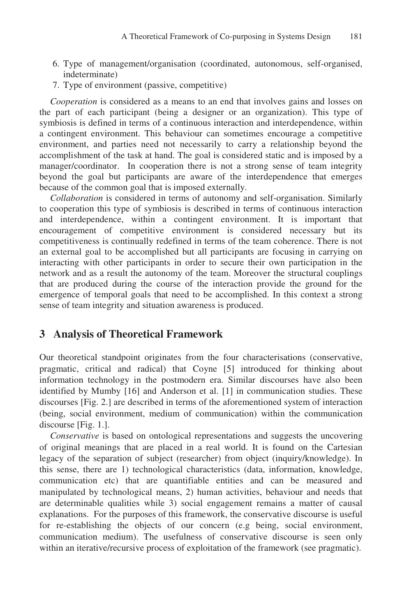- 6. Type of management/organisation (coordinated, autonomous, self-organised, indeterminate)
- 7. Type of environment (passive, competitive)

*Cooperation* is considered as a means to an end that involves gains and losses on the part of each participant (being a designer or an organization). This type of symbiosis is defined in terms of a continuous interaction and interdependence, within a contingent environment. This behaviour can sometimes encourage a competitive environment, and parties need not necessarily to carry a relationship beyond the accomplishment of the task at hand. The goal is considered static and is imposed by a manager/coordinator. In cooperation there is not a strong sense of team integrity beyond the goal but participants are aware of the interdependence that emerges because of the common goal that is imposed externally.

*Collaboration* is considered in terms of autonomy and self-organisation. Similarly to cooperation this type of symbiosis is described in terms of continuous interaction and interdependence, within a contingent environment. It is important that encouragement of competitive environment is considered necessary but its competitiveness is continually redefined in terms of the team coherence. There is not an external goal to be accomplished but all participants are focusing in carrying on interacting with other participants in order to secure their own participation in the network and as a result the autonomy of the team. Moreover the structural couplings that are produced during the course of the interaction provide the ground for the emergence of temporal goals that need to be accomplished. In this context a strong sense of team integrity and situation awareness is produced.

## **3 Analysis of Theoretical Framework**

Our theoretical standpoint originates from the four characterisations (conservative, pragmatic, critical and radical) that Coyne [5] introduced for thinking about information technology in the postmodern era. Similar discourses have also been identified by Mumby [16] and Anderson et al. [1] in communication studies. These discourses [Fig. 2.] are described in terms of the aforementioned system of interaction (being, social environment, medium of communication) within the communication discourse [Fig. 1.].

*Conservative* is based on ontological representations and suggests the uncovering of original meanings that are placed in a real world. It is found on the Cartesian legacy of the separation of subject (researcher) from object (inquiry/knowledge). In this sense, there are 1) technological characteristics (data, information, knowledge, communication etc) that are quantifiable entities and can be measured and manipulated by technological means, 2) human activities, behaviour and needs that are determinable qualities while 3) social engagement remains a matter of causal explanations. For the purposes of this framework, the conservative discourse is useful for re-establishing the objects of our concern (e.g being, social environment, communication medium). The usefulness of conservative discourse is seen only within an iterative/recursive process of exploitation of the framework (see pragmatic).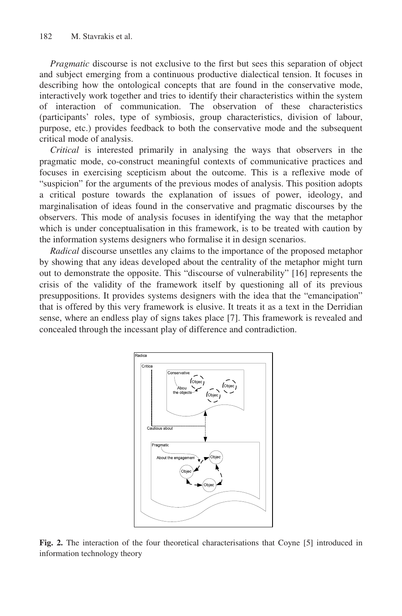*Pragmatic* discourse is not exclusive to the first but sees this separation of object and subject emerging from a continuous productive dialectical tension. It focuses in describing how the ontological concepts that are found in the conservative mode, interactively work together and tries to identify their characteristics within the system of interaction of communication. The observation of these characteristics (participants' roles, type of symbiosis, group characteristics, division of labour, purpose, etc.) provides feedback to both the conservative mode and the subsequent critical mode of analysis.

*Critical* is interested primarily in analysing the ways that observers in the pragmatic mode, co-construct meaningful contexts of communicative practices and focuses in exercising scepticism about the outcome. This is a reflexive mode of "suspicion" for the arguments of the previous modes of analysis. This position adopts a critical posture towards the explanation of issues of power, ideology, and marginalisation of ideas found in the conservative and pragmatic discourses by the observers. This mode of analysis focuses in identifying the way that the metaphor which is under conceptualisation in this framework, is to be treated with caution by the information systems designers who formalise it in design scenarios.

*Radical* discourse unsettles any claims to the importance of the proposed metaphor by showing that any ideas developed about the centrality of the metaphor might turn out to demonstrate the opposite. This "discourse of vulnerability" [16] represents the crisis of the validity of the framework itself by questioning all of its previous presuppositions. It provides systems designers with the idea that the "emancipation" that is offered by this very framework is elusive. It treats it as a text in the Derridian sense, where an endless play of signs takes place [7]. This framework is revealed and concealed through the incessant play of difference and contradiction.



**Fig. 2.** The interaction of the four theoretical characterisations that Coyne [5] introduced in information technology theory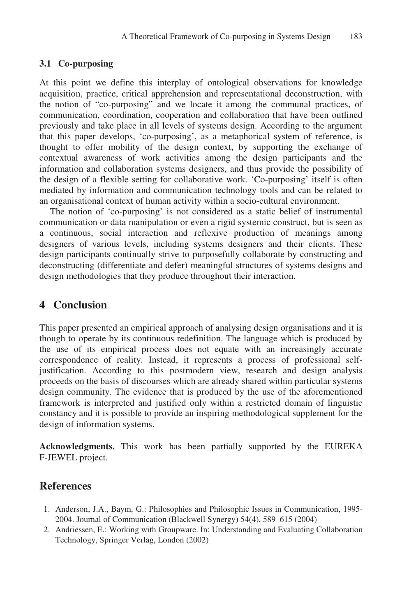### **3.1 Co-purposing**

At this point we define this interplay of ontological observations for knowledge acquisition, practice, critical apprehension and representational deconstruction, with the notion of "co-purposing" and we locate it among the communal practices, of communication, coordination, cooperation and collaboration that have been outlined previously and take place in all levels of systems design. According to the argument that this paper develops, 'co-purposing', as a metaphorical system of reference, is thought to offer mobility of the design context, by supporting the exchange of contextual awareness of work activities among the design participants and the information and collaboration systems designers, and thus provide the possibility of the design of a flexible setting for collaborative work. 'Co-purposing' itself is often mediated by information and communication technology tools and can be related to an organisational context of human activity within a socio-cultural environment.

The notion of 'co-purposing' is not considered as a static belief of instrumental communication or data manipulation or even a rigid systemic construct, but is seen as a continuous, social interaction and reflexive production of meanings among designers of various levels, including systems designers and their clients. These design participants continually strive to purposefully collaborate by constructing and deconstructing (differentiate and defer) meaningful structures of systems designs and design methodologies that they produce throughout their interaction.

# **4 Conclusion**

This paper presented an empirical approach of analysing design organisations and it is though to operate by its continuous redefinition. The language which is produced by the use of its empirical process does not equate with an increasingly accurate correspondence of reality. Instead, it represents a process of professional selfjustification. According to this postmodern view, research and design analysis proceeds on the basis of discourses which are already shared within particular systems design community. The evidence that is produced by the use of the aforementioned framework is interpreted and justified only within a restricted domain of linguistic constancy and it is possible to provide an inspiring methodological supplement for the design of information systems.

**Acknowledgments.** This work has been partially supported by the EUREKA F-JEWEL project.

# **References**

- 1. Anderson, J.A., Baym, G.: Philosophies and Philosophic Issues in Communication, 1995- 2004. Journal of Communication (Blackwell Synergy) 54(4), 589–615 (2004)
- 2. Andriessen, E.: Working with Groupware. In: Understanding and Evaluating Collaboration Technology, Springer Verlag, London (2002)